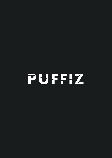# PUFFIZ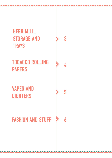

## **TOBACCO ROLLING** PAPERS

**VAPES AND LIGHTERS** 

## **FASHION AND STUFF**

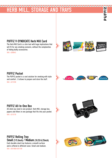## <span id="page-2-0"></span>HERB MILL, STORAGE AND TRA

 $\begin{array}{c} \n \textbf{A} & \textbf{A} & \textbf{A} \n \end{array}$ 

∧

### PUFFIZ V-SYNDICATE Herb Mill Card

The Herb Mill Card is a slim tool with huge implications that will fit for any smoking scenario, without the complexities of hiding bulky accessories. SKU: 6200042



#### **PUFFIZ Pocket**

The PUFFIZ pocket is a cool solution for smoking with style and comfort. .It allows to prepare and store the stuff. SKU: 6213100

#### **PUFFIZ UFFIZ PUFFI**

#### PUFFIZ All-In-One Box

All what you need in one product. Herb Mill, storage box, papers and filters in one package that fits into your pocket. SKII: 6213170



#### PUFFIZ Rolling Tray Small (7/5.5inch) / Medium (10.25/6.25inch)

Each durable steel tray features a smooth surface and is offered in different sizes: Small and medium. SKU: 6551000/6551100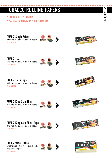## <span id="page-3-0"></span>TOBACCO ROLLING PAPERS



EIZ ū. 5 **A** 

^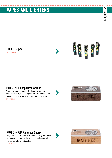## <span id="page-4-0"></span>**VAPES AND LIGHTERS**

∧

PUFFIZ Clipper SKU: 6213500



#### PUFFIZ-MFLB Vaporizer Walnut

A vaporizer made of walnut. Simple design and even simpler operation, with the highest evaporation quality on mobile devices. The device is hand-made in California. SKU: 6501052



#### PUFFIZ-MFLB Vaporizer Cherry

Magic Flight Box is a vaporizer made of cherry wood - the evaporator that changed the world of mobile evaporation. The device is hand-made in California. SKU: 6501053

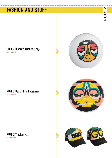## <span id="page-5-0"></span>**FASHION AND STUFF**

#### PUFFIZ Discraft Frisbee (175g) SKU: 6870710

PUFFIZ Beach Blanket (31inch) SKU: 6870800





PUFFIZ Trucker Hat SKU: 6870410